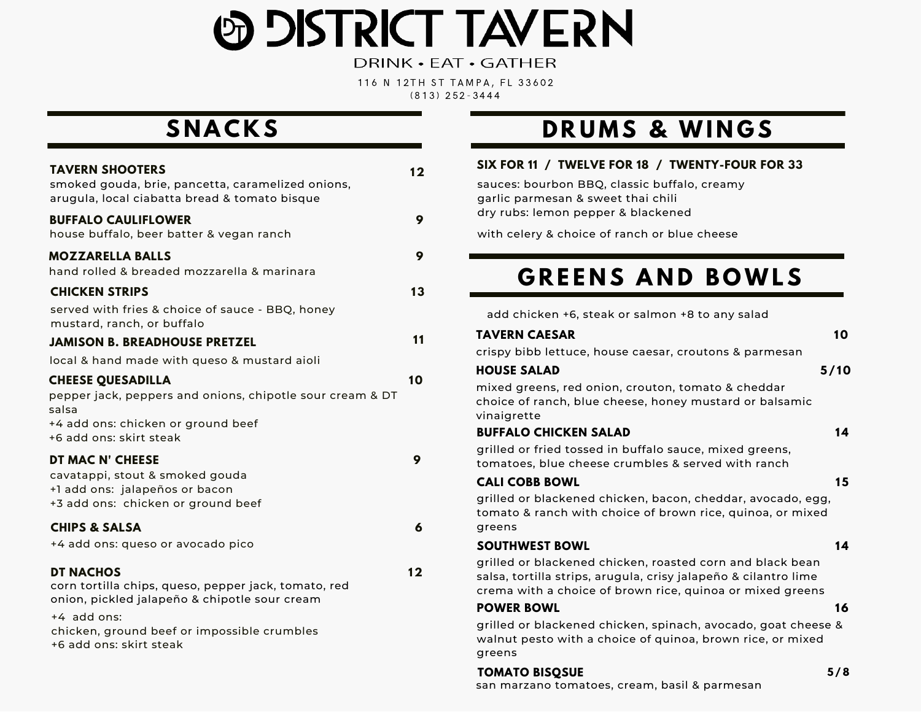# **ED DISTRICT TAVERN**

DRINK • EAT • GATHER

116 N 12TH ST TAMPA, FL 33602 ( 8 1 3 ) 2 5 2 - 3 4 4 4

| <b>TAVERN SHOOTERS</b><br>smoked gouda, brie, pancetta, caramelized onions,<br>arugula, local ciabatta bread & tomato bisque                                                                                       | 12      |
|--------------------------------------------------------------------------------------------------------------------------------------------------------------------------------------------------------------------|---------|
| <b>BUFFALO CAULIFLOWER</b><br>house buffalo, beer batter & vegan ranch                                                                                                                                             | 9       |
| <b>MOZZARELLA BALLS</b><br>hand rolled & breaded mozzarella & marinara<br><b>CHICKEN STRIPS</b>                                                                                                                    | 9<br>13 |
| served with fries & choice of sauce - BBQ, honey<br>mustard, ranch, or buffalo<br><b>JAMISON B. BREADHOUSE PRETZEL</b>                                                                                             | 11      |
| local & hand made with queso & mustard aioli<br><b>CHEESE QUESADILLA</b>                                                                                                                                           | 10      |
| pepper jack, peppers and onions, chipotle sour cream & DT<br>salsa<br>+4 add ons: chicken or ground beef<br>+6 add ons: skirt steak                                                                                |         |
| DT MAC N' CHEESE<br>cavatappi, stout & smoked gouda<br>+1 add ons: jalapeños or bacon<br>+3 add ons: chicken or ground beef                                                                                        | 9       |
| <b>CHIPS &amp; SALSA</b><br>+4 add ons: queso or avocado pico                                                                                                                                                      | 6       |
| <b>DT NACHOS</b><br>corn tortilla chips, queso, pepper jack, tomato, red<br>onion, pickled jalapeño & chipotle sour cream<br>+4 add ons:<br>chicken, ground beef or impossible crumbles<br>+6 add ons: skirt steak | 12      |

### $\overline{\text{SRUMGS}}$

#### **SIX FOR 11 / TWELVE FOR 18 / TWENTY-FOUR FOR 33**

sauces: bourbon BBQ, classic buffalo, creamy garlic parmesan & sweet thai chili dry rubs: lemon pepper & blackened

with celery & choice of ranch or blue cheese

### **G R E E N S A N D B OWL S**

add chicken +6, steak or salmon +8 to any salad

| TAVERN CAESAR |  |
|---------------|--|
|---------------|--|

crispy bibb lettuce, house caesar, croutons & parmesan

#### **HOUSE SALAD 5 / 1 0**

**1 0**

mixed greens, red onion, crouton, tomato & cheddar choice of ranch, blue cheese, honey mustard or balsamic vinaigrette

#### **BUFFALO CHICKEN SALAD**

grilled or fried tossed in buffalo sauce, mixed greens, tomatoes, blue cheese crumbles & served with ranch

|  |  | <b>CALI COBB BOWL</b> |
|--|--|-----------------------|
|--|--|-----------------------|

**1 5**

**1 4**

grilled or blackened chicken, bacon, cheddar, avocado, egg, tomato & ranch with choice of brown rice, quinoa, or mixed greens

#### **SOUTHWEST BOWL**

grilled or blackened chicken, roasted corn and black bean salsa, tortilla strips, arugula, crisy jalapeño & cilantro lime crema with a choice of brown rice, quinoa or mixed greens

#### **POWER BOWL**

**16**

**1 4**

grilled or blackened chicken, spinach, avocado, goat cheese & walnut pesto with a choice of quinoa, brown rice, or mixed greens

### **TOMATO BISQSUE 5 /8**

san marzano tomatoes, cream, basil & parmesan